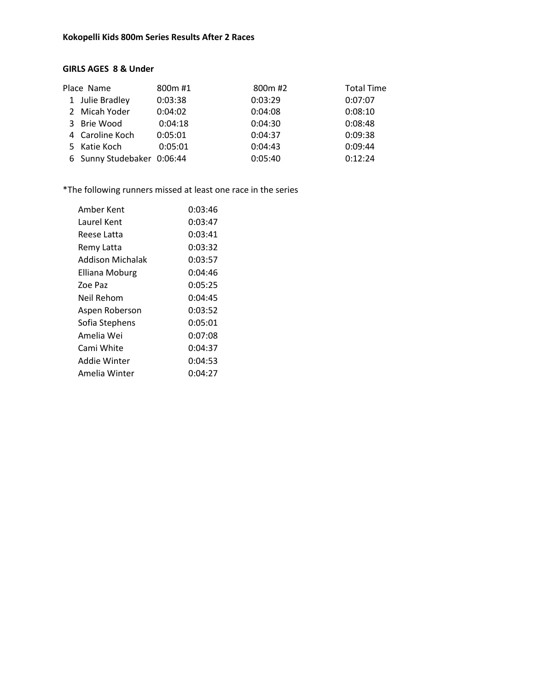## **Kokopelli Kids 800m Series Results After 2 Races**

## **GIRLS AGES 8 & Under**

| 800m#1                                                                                           | 800m #2                    | <b>Total Time</b> |
|--------------------------------------------------------------------------------------------------|----------------------------|-------------------|
| 0:03:38                                                                                          | 0:03:29                    | 0:07:07           |
| 0:04:02                                                                                          | 0:04:08                    | 0:08:10           |
| 0:04:18                                                                                          | 0:04:30                    | 0:08:48           |
| 0:05:01                                                                                          | 0:04:37                    | 0:09:38           |
| 0:05:01                                                                                          | 0:04:43                    | 0:09:44           |
|                                                                                                  | 0:05:40                    | 0:12:24           |
| Place Name<br>1 Julie Bradley<br>2 Micah Yoder<br>3 Brie Wood<br>4 Caroline Koch<br>5 Katie Koch | 6 Sunny Studebaker 0:06:44 |                   |

\*The following runners missed at least one race in the series

| Amber Kent       | 0:03:46 |
|------------------|---------|
| Laurel Kent      | 0:03:47 |
| Reese Latta      | 0:03:41 |
| Remy Latta       | 0:03:32 |
| Addison Michalak | 0:03:57 |
| Elliana Moburg   | 0:04:46 |
| Zoe Paz          | 0:05:25 |
| Neil Rehom       | 0:04:45 |
| Aspen Roberson   | 0:03:52 |
| Sofia Stephens   | 0:05:01 |
| Amelia Wei       | 0:07:08 |
| Cami White       | 0:04:37 |
| Addie Winter     | 0:04:53 |
| Amelia Winter    | 0:04:27 |